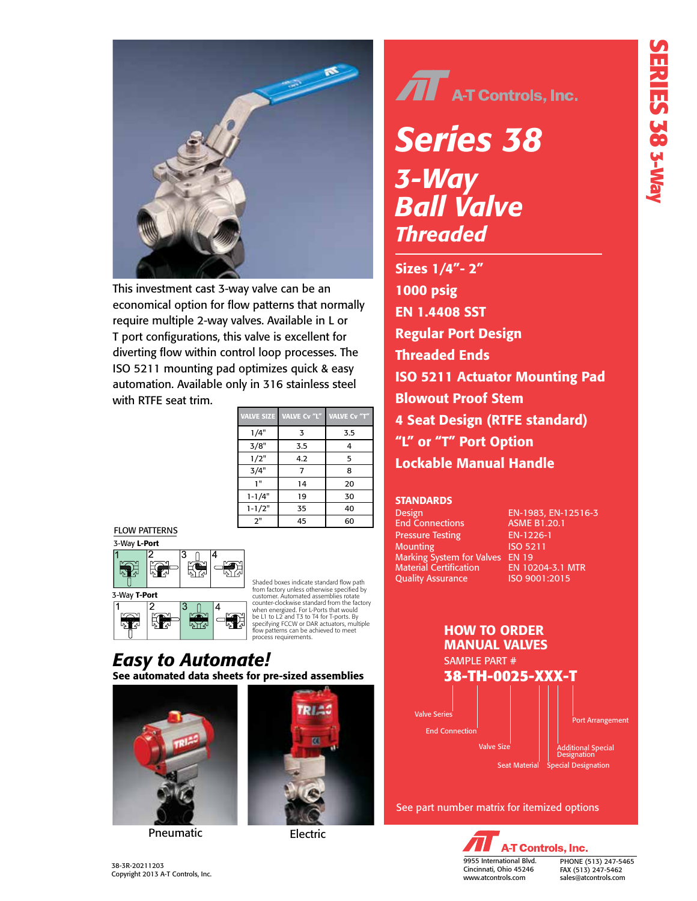

This investment cast 3-way valve can be an economical option for flow patterns that normally require multiple 2-way valves. Available in L or T port configurations, this valve is excellent for diverting flow within control loop processes. The ISO 5211 mounting pad optimizes quick & easy automation. Available only in 316 stainless steel with RTFE seat trim.

| <b>VALVE SIZE</b> | VALVE Cv "L" | <b>VALVE Cv "T"</b> |
|-------------------|--------------|---------------------|
| 1/4"              | 3            | 3.5                 |
| 3/8"              | 3.5          | 4                   |
| 1/2"              | 4.2          | 5                   |
| 3/4"              | 7            | 8                   |
| 1"                | 14           | 20                  |
| $1 - 1/4"$        | 19           | 30                  |
| $1 - 1/2"$        | 35           | 40                  |
| 2"                | 45           | 60                  |







Shaded boxes indicate standard flow path from factory unless otherwise specified by<br>customer. Automated assemblies rotate<br>counter-clockwise standard from the factory<br>when energized. For L-Ports that would<br>be L1 to L2 and T3 to T4 for T-ports. By<br>specifying FCCW o

### See automated data sheets for pre-sized assemblies *Easy to Automate!*



Pneumatic Electric



 $\widehat{\mathbf{H}}$  A-T Controls, Inc.

### *Series 38 3-Way Ball Valve*<br>broaded *The Committee of the Second Series 38 3-Way Ball Valve Threaded*

Sizes 1/4" - 2" 1000 psi Wogo<br>1000 psi Wogodzi 316SST Regular Port Design Threaded Ends ISO 5211 Actuator Mounting Pada Blowout Proof Stem  $\frac{1}{4}$ "L" or "T" Port Option" Lockable Manual Handle Sizes 1/4"- 2" 1000 psig EN 1.4408 SST Regular Port Design Threaded Ends ISO 5211 Actuator Mounting Pad Blowout Proof Stem 4 Seat Design (RTFE standard) "L" or "T" Port Option Lockable Manual Handle

#### STANDARDS STANDARDS

End Connections ASME B1.20.1 Pressure Testing EN-12266-1 End Connections ASME B1.20.1 Pressure Testing **EN-1226-1** Marking System for Valves EN 19 Mounting ISO 5211 Material Certification EN 10204-3.1 MTR Quality Assurance ISO 9001:2015 Marking System for Valves EN 19 Material Certification EN 10204-3.1 MTR Quality Assurance

ISO 9001:2015 Design EN -1983, EN-12516-3 Design EN-1983, EN-12516-3



See part number matrix for itemized options See part number matrix for itemized options

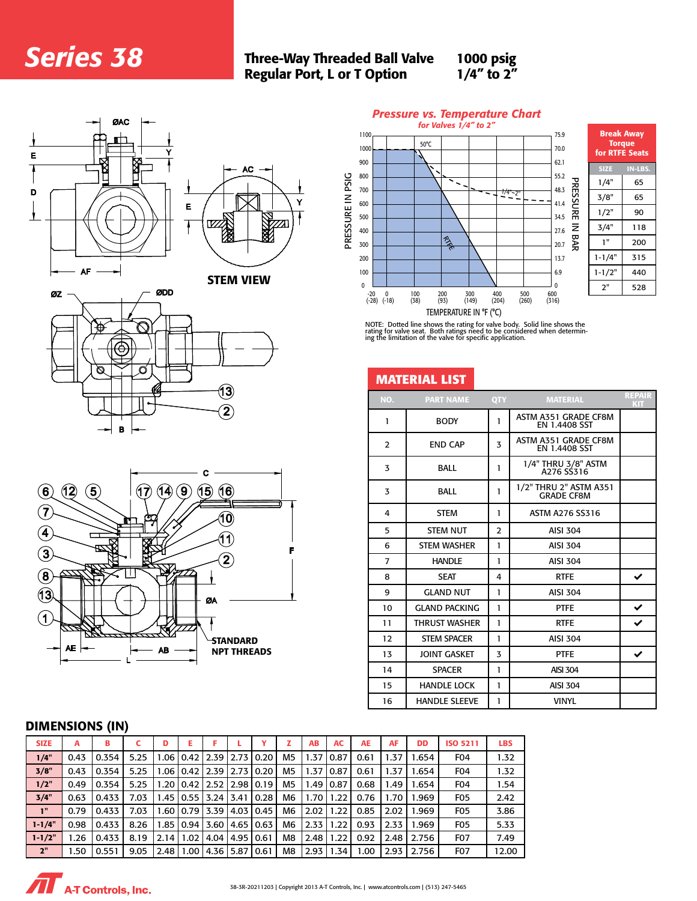# **Series 38**

#### Three-Way Threaded Ball Valve 1000 ps **Series 38** Three-Way Threaded Ball Valve 100 Regular Port, L or T Option all Valve 1000 psig<br>tion 1/4" to 2"  $388 \text{ s}$

Y

 $1000$  psig 1/4" to 2" 00 psig  $p = 1/4"$  to  $2"$  $\frac{1}{2}$  to 2.4  $\frac{1}{2}$ 

IN-LBS

200



*Series 38* Three-Way Threaded







ing the limitation of the v E seat. Dott ratings need ENTERTONE IT T (C)<br>NOTE: Dotted line shows the rating for valve body. Solid NOTE: Dotted line shows the rating for valve body. Solid line shows the rating for valve seat. Both ratings need to be considered when determin-ing the limitation of the valve for specific application.

| O<br>O                                                                                                 |                | <b>MATERIAL LIST</b> |                |                                             |                             |
|--------------------------------------------------------------------------------------------------------|----------------|----------------------|----------------|---------------------------------------------|-----------------------------|
| 13)                                                                                                    | NO.            | <b>PART NAME</b>     | QTY            | <b>MATERIAL</b>                             | <b>REPAIR</b><br><b>KIT</b> |
| $\left( \mathbf{2}\right)$<br>в<br>$\rightarrow$                                                       | $\mathbf{1}$   | <b>BODY</b>          | $\mathbf{1}$   | ASTM A351 GRADE CF8M<br>EN 1.4408 SST       |                             |
|                                                                                                        | $\overline{2}$ | <b>END CAP</b>       | $\overline{3}$ | ASTM A351 GRADE CF8M<br>EN 1.4408 SST       |                             |
|                                                                                                        | 3              | <b>BALL</b>          | $\mathbf{1}$   | 1/4" THRU 3/8" ASTM<br>A276 SS316           |                             |
| $\bf{(5)}$<br>$\mathbf{Q}$<br>$\mathbf{\hat{12}}$<br>(16)<br>$\left( 6\right)$<br>(17)<br>(15)<br>(14) | 3              | <b>BALL</b>          | $\mathbf{1}$   | 1/2" THRU 2" ASTM A351<br><b>GRADE CF8M</b> |                             |
| $\left( 7\right)$<br>10)<br>.ප<br>صی                                                                   | 4              | <b>STEM</b>          | -1             | ASTM A276 SS316                             |                             |
| $\left( 4\right)$                                                                                      | 5              | <b>STEM NUT</b>      | $\overline{2}$ | AISI 304                                    |                             |
| (11)<br>∞<br>F<br>$\mathbf{\hat{3}}$                                                                   | 6              | <b>STEM WASHER</b>   | $\mathbf{1}$   | AISI 304                                    |                             |
| $\mathbf{2}$                                                                                           | $\overline{7}$ | <b>HANDLE</b>        | $\mathbf{1}$   | AISI 304                                    |                             |
| $\left( \mathbf{8}\right)$                                                                             | 8              | <b>SEAT</b>          | 4              | <b>RTFE</b>                                 | $\checkmark$                |
| $\bf \widehat{13}$<br>ØA                                                                               | 9              | <b>GLAND NUT</b>     | $\mathbf{1}$   | <b>AISI 304</b>                             |                             |
|                                                                                                        | 10             | <b>GLAND PACKING</b> | $\mathbf{1}$   | <b>PTFE</b>                                 | $\checkmark$                |
| $\left( 1 \right)$                                                                                     | 11             | <b>THRUST WASHER</b> | $\mathbf{1}$   | <b>RTFE</b>                                 | $\checkmark$                |
| $\overline{\phantom{a}}$<br><b>-STANDARD</b>                                                           | 12             | <b>STEM SPACER</b>   | $\mathbf{1}$   | AISI 304                                    |                             |
| $AE \rightarrow$<br><b>AB</b><br><b>NPT THREADS</b>                                                    | 13             | <b>JOINT GASKET</b>  | 3              | <b>PTFE</b>                                 | $\checkmark$                |
|                                                                                                        | 14             | <b>SPACER</b>        | $\mathbf{1}$   | <b>AISI 304</b>                             |                             |
|                                                                                                        | 15             | <b>HANDLE LOCK</b>   | $\mathbf{1}$   | <b>AISI 304</b>                             |                             |
|                                                                                                        | 16             | <b>HANDLE SLEEVE</b> | $\mathbf{1}$   | <b>VINYL</b>                                |                             |

## 1/4" 0.4354 5.25 1.06 0.4354 5.25 1.06 0.354 5.25 1.06 0.37 0.37 0.37 0.37 1.47 0.87 0.87 0.47 1.47 1.47 1.47

| <b>DIMENSIONS (IN)</b> |       |       |      |       |                                  |      |                    |                |           |       |           |      |           |                  |            |
|------------------------|-------|-------|------|-------|----------------------------------|------|--------------------|----------------|-----------|-------|-----------|------|-----------|------------------|------------|
| <b>SIZE</b>            | A     | в     |      | D     | E                                |      |                    |                | <b>AB</b> | AC    | <b>AE</b> | AF   | <b>DD</b> | <b>ISO 5211</b>  | <b>LBS</b> |
| 1/4"                   | 0.43  | 0.354 | 5.25 |       | $1.06$   0.42   2.39             |      | 12.7310.20         | M <sub>5</sub> | 1.37      | 10.87 | 0.61      | 1.37 | 1.654     | FO <sub>4</sub>  | 1.32       |
| 3/8"                   | 0.43  | 0.354 | 5.25 |       | $1.06$   0.42   2.39             |      | 12.7310.20         | M5             | 1.37      | 10.87 | 0.61      | 1.37 | 1.654     | FO <sub>4</sub>  | 1.32       |
| 1/2"                   | 0.49  | 0.354 | 5.25 |       | 1.20   0.42   2.52   2.98   0.19 |      |                    | M <sub>5</sub> | 1.49      | 10.87 | 0.68      | 1.49 | 1.654     | FO <sub>4</sub>  | 1.54       |
| 3/4"                   | 0.63  | 0.433 | 7.03 |       | $1.45$   0.55                    |      | 3.24   3.41   0.28 | M <sub>6</sub> | 1.70      | 1.22  | 0.76      | 1.70 | 1.969     | FO <sub>5</sub>  | 2.42       |
| 1"                     | 0.79  | 0.433 | 7.03 |       | $1.60$   0.79   3.39             |      | 4.03   0.45        | M <sub>6</sub> | 2.02      | 1.22  | 0.85      | 2.02 | 1.969     | FO <sub>5</sub>  | 3.86       |
| $1 - 1/4"$             | 0.98  | 0.433 | 8.26 |       | $1.85$   0.94                    | 3.60 | 4.65   0.63        | M <sub>6</sub> | 2.33      | 1.22  | 0.93      | 2.33 | 1.969     | FO <sub>5</sub>  | 5.33       |
| $1 - 1/2"$             | 26. ا | 0.433 | 8.19 | 2.141 | 1.02                             | 4.04 | 4.95   0.61        | M8             | 2.48      | 1.22  | 0.92      | 2.48 | 2.756     | F <sub>0</sub> 7 | 7.49       |
| 2"                     | .50   | 0.551 | 9.05 | 2.481 | 1.00                             |      | 4.36   5.87   0.61 | M <sub>8</sub> | 2.93      | 1.34  | 1.00      | 2.93 | 2.756     | F <sub>0</sub> 7 | 12.00      |

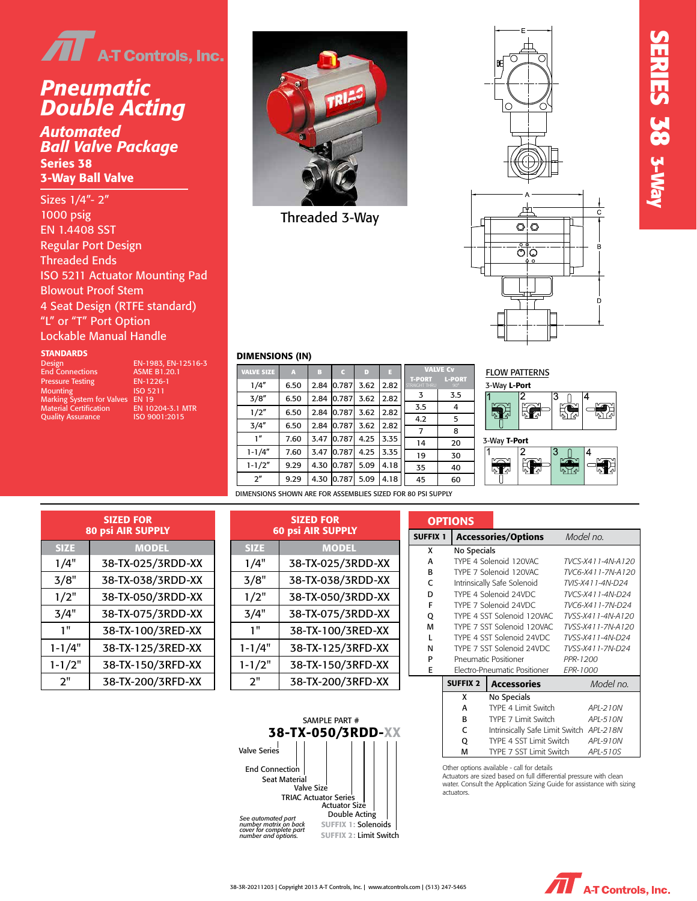

#### *Double Acting Automated Ball Valve Package Pneumatic Double Acting*

Series 38 *Automated* 3-Way Ball Valve *Ball Valve Package* enes se<br>JMav Rall Valv 1000 psi Wogodki Series 38 3-Way Ball Valve

Sizes 1/4"- 2" 1000 psignal Port Designation EN 1.4408 SST Regular Port Design Threaded Ends ISO 5211 Actuator Mounting Pad Blowout Proof Stem 4 Seat Design (RTFE standard) "L" or "T" Port Option Lockable Manual Handle 1-1/4" 9.29 4.49 0.79 3.43 4.41 1-1/2" 9.29 4.49 0.79 3.72 4.41

#### Quality Assurance ISO 9001:2008 STANDARDS

| Design                          | EN-1983. EN-1251    |
|---------------------------------|---------------------|
| <b>End Connections</b>          | <b>ASME B1.20.1</b> |
| <b>Pressure Testing</b>         | EN-1226-1           |
| <b>Mounting</b>                 | ISO 5211            |
| Marking System for Valves EN 19 |                     |
| <b>Material Certification</b>   | EN 10204-3.1 MTR    |
| <b>Quality Assurance</b>        | ISO 9001:2015       |

EN-1983, EN-12516-3 **ASME B1.20.1** EN-1226-1 ISO 5211  $EN<sub>19</sub>$ 



SIZE a B Threaded 3-Way





#### **Example 3 DIMENSIONS (IN)** and a part for a supply distributions of  $I$ 2" 9.29 4.49 0.79 4.06 4.41

1/4" 5.98 2.76 0.79 2.54 2.58 3/8" 5.98 2.76 0.79 2.54 2.58 1/2" 5.98 2.76 0.79 2.68 2.58 3/4" 5.98 2.76 0.79 3.03 2.58 1" 7.95 3.43 0.79 3.18 3.29

| <b>VALVE SIZE</b> | A    | F    |            | D    |      |                                | <b>VALVE Cv</b>             | <b>FLOW PATT</b> |
|-------------------|------|------|------------|------|------|--------------------------------|-----------------------------|------------------|
| 1/4"              | 6.50 | 2.84 | 0.787      | 3.62 | 2.82 | <b>T-PORT</b><br>STRAIGHT THRU | <b>L-PORT</b><br>$90^\circ$ | 3-Way L-Por      |
| 3/8''             | 6.50 | 2.84 | 0.787      | 3.62 | 2.82 | 3                              | 3.5                         | 2                |
| 1/2"              | 6.50 | 2.84 | 0.787      | 3.62 | 2.82 | 3.5                            | 4                           | Ę<br>叼<br>اے ∎   |
| 3/4''             | 6.50 | 2.84 | 0.787      | 3.62 | 2.82 | 4.2                            | 5                           |                  |
| 1''               | 7.60 | 3.47 | 0.787      | 4.25 | 3.35 |                                | 8                           |                  |
|                   |      |      |            |      |      | 14                             | 20                          | 3-Way T-Port     |
| $1 - 1/4"$        | 7.60 | 3.47 | 0.787      | 4.25 | 3.35 | 19                             | 30                          | 2                |
| $1 - 1/2"$        | 9.29 | 4.30 | 0.787      | 5.09 | 4.18 | 35                             | 40                          | Ę<br>冤           |
| 2 <sup>n</sup>    | 9.29 |      | 4.30 0.787 | 5.09 | 4.18 | 45                             | 60                          |                  |
|                   |      |      |            |      |      |                                |                             |                  |

|                   | . ביותר וחי |       |  |
|-------------------|-------------|-------|--|
| 3-Way L-Port      |             |       |  |
|                   |             | 3     |  |
|                   |             |       |  |
| ٦.                | م⁄ ∎        | دار م |  |
|                   |             |       |  |
| 3-Way T-Port      |             |       |  |
|                   |             |       |  |
|                   |             |       |  |
| $\P_{\epsilon^0}$ | Гл<br>لم    |       |  |
|                   |             |       |  |

ELOW PATTERNIC

DIMENSIONS SHOWN ARE FOR ASSEMBLIES SIZED FOR 80 PSI SUPPLY

|             | <b>SIZED FOR</b><br><b>80 psi AIR SUPPLY</b> |
|-------------|----------------------------------------------|
| <b>SIZE</b> | <b>MODEL</b>                                 |
| 1/4"        | 38-TX-025/3RDD-XX                            |
| 3/8"        | 38-TX-038/3RDD-XX                            |
| 1/2"        | 38-TX-050/3RDD-XX                            |
| 3/4"        | 38-TX-075/3RDD-XX                            |
| 1"          | 38-TX-100/3RED-XX                            |
| $1 - 1/4"$  | 38-TX-125/3RED-XX                            |
| $1 - 1/2"$  | 38-TX-150/3RFD-XX                            |
| ን"          | 38-TX-200/3RFD-XX                            |

1/2" 38-TX-050/TR1D-XX-TX-050/TR1D-XX-TX-050

|     | <b>SIZED FOR</b>         |             | <b>SIZED FOR</b>         | <b>OPTIO</b>    |            |                |
|-----|--------------------------|-------------|--------------------------|-----------------|------------|----------------|
|     | <b>80 psi AIR SUPPLY</b> |             | <b>60 psi AIR SUPPLY</b> | <b>SUFFIX 1</b> |            | A              |
| E   | <b>MODEL</b>             | <b>SIZE</b> | <b>MODEL</b>             | x               |            | N <sub>0</sub> |
| Ľ۳  | 38-TX-025/3RDD-XX        | 1/4"        | 38-TX-025/3RDD-XX        |                 |            | TY             |
| γM  | 38-TX-038/3RDD-XX        | 3/8"        | 38-TX-038/3RDD-XX        | R               |            | TY<br>Int      |
| II, | 38-TX-050/3RDD-XX        | 1/2"        | 38-TX-050/3RDD-XX        | D               |            | TY             |
| H.  | 38-TX-075/3RDD-XX        | 3/4"        | 38-TX-075/3RDD-XX        | o               |            | TY<br>TY       |
|     | 38-TX-100/3RED-XX        | 1 "         | 38-TX-100/3RED-XX        | M               |            | TY<br>TY       |
| '4" | 38-TX-125/3RED-XX        | $1 - 1/4"$  | 38-TX-125/3RFD-XX        | N               |            | TY             |
| 2"  | 38-TX-150/3RFD-XX        | $1 - 1/2"$  | 38-TX-150/3RFD-XX        |                 |            | Pr<br>Ek       |
|     | 38-TX-200/3RFD-XX        | 2"          | 38-TX-200/3RFD-XX        |                 | <b>SUF</b> |                |

*See automated part number matrix on back cover for complete part number and options.*

Seat Material

Valve Size

TRIAC Actuator Series

|             | <b>SIZED FOR</b>         |                       | <b>SIZED FOR</b>                   |                 | <b>OPTIONS</b>             |                                                                                                                                                    |                                                          |
|-------------|--------------------------|-----------------------|------------------------------------|-----------------|----------------------------|----------------------------------------------------------------------------------------------------------------------------------------------------|----------------------------------------------------------|
|             | <b>80 psi AIR SUPPLY</b> |                       | <b>60 psi AIR SUPPLY</b>           | <b>SUFFIX 1</b> |                            | <b>Accessories/Options</b>                                                                                                                         | Model no.                                                |
| <b>SIZE</b> | <b>MODEL</b>             | <b>SIZE</b>           | <b>MODEL</b>                       | x               | No Specials                |                                                                                                                                                    |                                                          |
| 1/4"        | 38-TX-025/3RDD-XX        | 1/4"                  | 38-TX-025/3RDD-XX                  | А               |                            | TYPE 4 Solenoid 120VAC                                                                                                                             | TVCS-X411-4N-A120                                        |
| 3/8"        | 38-TX-038/3RDD-XX        | 3/8"                  | 38-TX-038/3RDD-XX                  | B<br>C          |                            | TYPE 7 Solenoid 120VAC<br>Intrinsically Safe Solenoid                                                                                              | TVC6-X411-7N-A120<br>TVIS-X411-4N-D24                    |
| 1/2"        | 38-TX-050/3RDD-XX        | 1/2"                  | 38-TX-050/3RDD-XX                  | D<br>F          |                            | TYPE 4 Solenoid 24VDC<br>TYPE 7 Solenoid 24VDC                                                                                                     | TVCS-X411-4N-D24<br>TVC6-X411-7N-D24                     |
| 3/4"        | 38-TX-075/3RDD-XX        | 3/4"                  | 38-TX-075/3RDD-XX                  | Q               |                            | TYPE 4 SST Solenoid 120VAC                                                                                                                         | TVSS-X411-4N-A120                                        |
| 1"          | 38-TX-100/3RED-XX        | 1 <sup>11</sup>       | 38-TX-100/3RED-XX                  | M<br>L          |                            | TYPE 7 SST Solenoid 120VAC<br>TYPE 4 SST Solenoid 24VDC                                                                                            | TVSS-X411-7N-A120<br>TVSS-X411-4N-D24                    |
| $1 - 1/4"$  | 38-TX-125/3RED-XX        | $1 - 1/4"$            | 38-TX-125/3RFD-XX                  | N               |                            | TYPE 7 SST Solenoid 24VDC                                                                                                                          | TVSS-X411-7N-D24                                         |
| $1 - 1/2"$  | 38-TX-150/3RFD-XX        | $1 - 1/2"$            | 38-TX-150/3RFD-XX                  | P<br>E          |                            | <b>Pneumatic Positioner</b><br>Electro-Pneumatic Positioner                                                                                        | PPR-1200<br>EPR-1000                                     |
| 2"          | 38-TX-200/3RFD-XX        | 2"                    | 38-TX-200/3RFD-XX                  |                 | <b>SUFFIX 2</b>            | <b>Accessories</b>                                                                                                                                 | Model no.                                                |
|             |                          | <b>Valve Series</b>   | SAMPLE PART #<br>38-TX-050/3RDD-XX |                 | x<br>A<br>в<br>c<br>Q<br>M | No Specials<br>TYPE 4 Limit Switch<br>TYPE 7 Limit Switch<br>Intrinsically Safe Limit Switch<br>TYPE 4 SST Limit Switch<br>TYPE 7 SST Limit Switch | API-210N<br>APL-510N<br>APL-218N<br>APL-910N<br>APL-510S |
|             |                          | <b>End Connection</b> |                                    |                 |                            | Other options available - call for details                                                                                                         |                                                          |

Other options available - call for details Actuators are sized based on full differential pressure with clean water. Consult the Application Sizing Guide for assistance with sizing actuators.

**SERIES 38 SERIES 38 3-Way** 



Actuator Size Double Acting SUFFIX 1: Solenoids SUFFIX 2: Limit Switch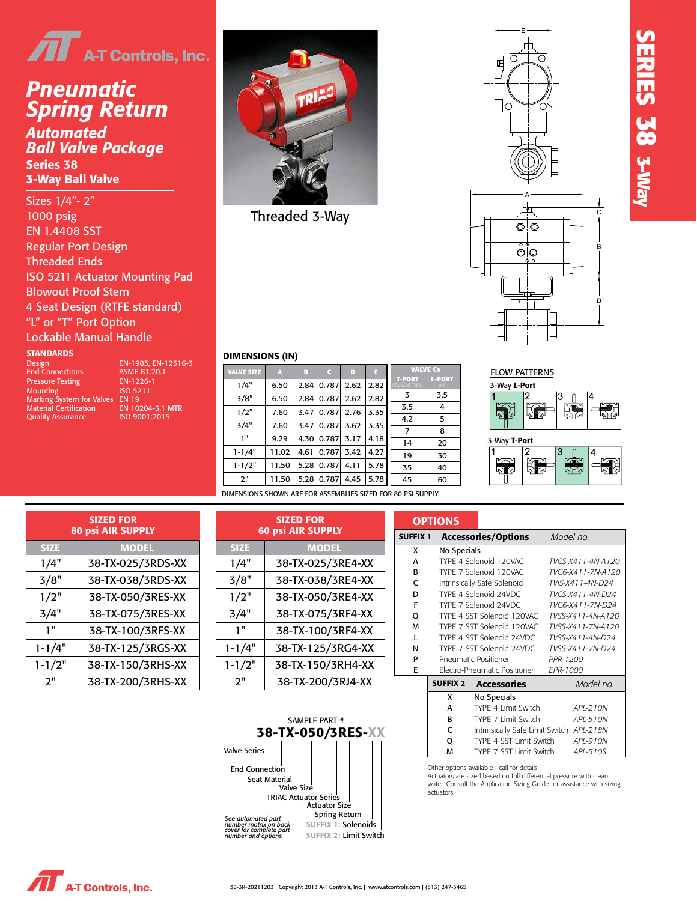

### *Pneumatic Spring Return Automated Double Acting Ball Valve Package*

Series 38 senes so<br>3-Way Ball Valve Automated *Ball Valve Package*  $\frac{1}{\sqrt{2}}$ 

Sizes 1/4"- 2" 1000 psignal Designation of the Second EN 1.4408 SST Regular Port Design **Stem** Threaded Ends  $\mathbb{R}^n$  and  $\mathbb{R}^n$ ISO 5211 Actuator Mounting Pad Blowout Proof Stem 4 Seat Design (RTFE standard) "L" or "T" Port Option Lockable Manual Handle

#### **STANDARDS** (Constitution Assurance ISO 9001:2008)

Design EN-1983, E<br>
End Connections ASME B1.20<br>
Pressure Testing EN-1226-1 Pressure Testing EN-1226-<br>Mounting ISO 5211 Mounting ISO 5211 Marking System for Valves EN 19 Material Certification EN 10204-3.1 MTR SIZED FOR Quality Assurance

EN-1983, EN-12516-3<br>ASME B1.20.1 EN 10204-3.1 MTR<br>ISO 9001:2015

1/4" 38-TX-025/TR1D-XX-T 3/8" 38-TX-038/TR1D-XX-T 1/2" 38-TX-050/TR1D-XX-T



**Threaded 3-Way** 

1/4" 5.98 2.76 0.79 2.54 2.58 3/8" 5.98 2.76 0.79 2.54 2.58 1/2" 5.98 2.76 0.79 2.68 2.58 3/4" 5.98 2.76 0.79 3.03 2.58 1" 7.95 3.43 0.79 3.18 3.29 1-1/4" 9.29 4.49 0.79 3.43 4.41 1-1/2" 9.29 4.49 0.79 3.72 4.41 2" 9.29 4.49 0.79 4.06 4.41



**SERIES 38**

**SERIES 38 3-Way** 

#### **EXECUTE DIMENSIONS (IN)** ARE FOR ASSEMBLING TO A SERIES SIZE OF A SUPPLY SIZE OF A SUPPLY SIZE OF A SUPPLY SIZE OF A SUPPLY STATE OF A SUPPLY STATE OF A SUPPLY STATE OF A SUPPLY STATE OF A SUPPLY STATE OF A SUPPLY STATE O

VALVE

| <b>VALVE SIZE</b> | A     | B    |        | D    | п    |                                | <b>VALVE Cv</b>             |
|-------------------|-------|------|--------|------|------|--------------------------------|-----------------------------|
| 1/4"              | 6.50  | 2.84 | 0.787  | 2.62 | 2.82 | <b>T-PORT</b><br>STRAIGHT THRU | <b>L-PORT</b><br>$90^\circ$ |
| 3/8"              | 6.50  | 2.84 | 0.787  | 2.62 | 2.82 | 3                              | 3.5                         |
| 1/2"              | 7.60  | 3.47 | 0.787  | 2.76 | 3.35 | 3.5                            | 4                           |
| 3/4"              | 7.60  | 3.47 | 0.787  | 3.62 | 3.35 | 4.2                            | 5                           |
|                   |       |      |        |      |      | $\overline{7}$                 | 8                           |
| 1"                | 9.29  | 4.30 | 0.787  | 3.17 | 4.18 | 14                             | 20                          |
| $1 - 1/4"$        | 11.02 | 4.61 | 10.787 | 3.42 | 4.27 | 19                             | 30                          |
| $1 - 1/2"$        | 11.50 | 5.28 | 10.787 | 4.11 | 5.78 | 35                             | 40                          |
| 2"                | 11.50 | 5.28 | 0.787  | 4.45 | 5.78 | 45                             | 60                          |
|                   |       |      |        |      |      |                                |                             |

| <b>FLOW PATTERNS</b> |   |  |
|----------------------|---|--|
| 3-Way L-Port         |   |  |
|                      | л |  |



DIMENSIONS SHOWN ARE FOR ASSEMBLIES SIZED FOR 80 PSI SUPPLY

|             | <b>SIZED FOR</b><br><b>80 psi AIR SUPPLY</b> |         |
|-------------|----------------------------------------------|---------|
| <b>SIZE</b> | <b>MODEL</b>                                 |         |
| 1/4"        | 38-TX-025/3RDS-XX                            |         |
| 3/8"        | 38-TX-038/3RDS-XX                            |         |
| 1/2"        | 38-TX-050/3RES-XX                            |         |
| 3/4"        | 38-TX-075/3RES-XX                            |         |
| 1 "         | 38-TX-100/3RFS-XX                            |         |
| $1 - 1/4"$  | 38-TX-125/3RGS-XX                            | $1 - 1$ |
| $1 - 1/2"$  | 38-TX-150/3RHS-XX                            | 1-1     |
| 2"          | 38-TX-200/3RHS-XX                            |         |

| <b>SIZED FOR</b> |                          |  |                          | <b>SIZED FOR</b>  |  |                 | <b>OPTIONS</b>                         |
|------------------|--------------------------|--|--------------------------|-------------------|--|-----------------|----------------------------------------|
|                  | <b>80 psi AIR SUPPLY</b> |  | <b>60 psi AIR SUPPLY</b> |                   |  | <b>SUFFIX 1</b> | Acce                                   |
|                  | <b>MODEL</b>             |  | <b>SIZE</b>              | <b>MODEL</b>      |  | X               | No Sp                                  |
|                  | 38-TX-025/3RDS-XX        |  | 1/4"                     | 38-TX-025/3RE4-XX |  | A               | TYPE 4                                 |
|                  | 38-TX-038/3RDS-XX        |  | 3/8"                     | 38-TX-038/3RE4-XX |  | R<br>C          | TYPE <sub>7</sub><br>Intrinsi          |
|                  | 38-TX-050/3RES-XX        |  | 1/2"                     | 38-TX-050/3RE4-XX |  | D               | TYPE 4                                 |
|                  | 38-TX-075/3RES-XX        |  | 3/4"                     | 38-TX-075/3RF4-XX |  | F<br>Q          | TYPE <sub>7</sub><br>TYPE 4            |
|                  | 38-TX-100/3RFS-XX        |  | 1"                       | 38-TX-100/3RF4-XX |  | М               | TYPE <sub>7</sub>                      |
|                  | 38-TX-125/3RGS-XX        |  | $1 - 1/4"$               | 38-TX-125/3RG4-XX |  | N               | TYPF <sub>4</sub><br>TYPE <sub>7</sub> |
|                  | 38-TX-150/3RHS-XX        |  | $1 - 1/2"$               | 38-TX-150/3RH4-XX |  | P<br>Е          | Pneum<br>Electro                       |
|                  | 38-TX-200/3RHS-XX        |  | 2"                       | 38-TX-200/3RJ4-XX |  |                 | <b>SUFFIX</b>                          |
|                  |                          |  |                          |                   |  |                 |                                        |

|              | <b>SIZED FOR</b>         |                     | <b>SIZED FOR</b>         |   | <b>OPTIONS</b>  |                                 |                   |
|--------------|--------------------------|---------------------|--------------------------|---|-----------------|---------------------------------|-------------------|
|              | <b>80 psi AIR SUPPLY</b> |                     | <b>60 psi AIR SUPPLY</b> |   | <b>SUFFIX 1</b> | <b>Accessories/Options</b>      | Model no.         |
| ZE.          | <b>MODEL</b>             | <b>SIZE</b>         | <b>MODEL</b>             | X | No Specials     |                                 |                   |
| 4"           | 38-TX-025/3RDS-XX        | 1/4"                | 38-TX-025/3RE4-XX        | А |                 | TYPE 4 Solenoid 120VAC          | TVCS-X411-4N-A120 |
| '8"          | 38-TX-038/3RDS-XX        | 3/8"                | 38-TX-038/3RE4-XX        | В |                 | TYPE 7 Solenoid 120VAC          | TVC6-X411-7N-A120 |
|              |                          |                     |                          | C |                 | Intrinsically Safe Solenoid     | TVIS-X411-4N-D24  |
| '2"          | 38-TX-050/3RES-XX        | 1/2"                | 38-TX-050/3RE4-XX        | D |                 | TYPE 4 Solenoid 24VDC           | TVCS-X411-4N-D24  |
|              |                          |                     |                          | F |                 | TYPE 7 Solenoid 24VDC           | TVC6-X411-7N-D24  |
| '4"          | 38-TX-075/3RES-XX        | 3/4"                | 38-TX-075/3RF4-XX        | Q |                 | TYPE 4 SST Solenoid 120VAC      | TVSS-X411-4N-A120 |
| $\mathbf{H}$ | 38-TX-100/3RFS-XX        | 1"                  | 38-TX-100/3RF4-XX        | M |                 | TYPE 7 SST Solenoid 120VAC      | TVSS-X411-7N-A120 |
|              |                          |                     |                          |   |                 | TYPE 4 SST Solenoid 24VDC       | TVSS-X411-4N-D24  |
| /4"          | 38-TX-125/3RGS-XX        | $1 - 1/4"$          | 38-TX-125/3RG4-XX        | N |                 | TYPE 7 SST Solenoid 24VDC       | TVSS-X411-7N-D24  |
| /2"          | 38-TX-150/3RHS-XX        | $1 - 1/2"$          | 38-TX-150/3RH4-XX        | P |                 | <b>Pneumatic Positioner</b>     | PPR-1200          |
|              |                          |                     |                          | E |                 | Electro-Pneumatic Positioner    | EPR-1000          |
| ۱۱.          | 38-TX-200/3RHS-XX        | 2"                  | 38-TX-200/3RJ4-XX        |   | <b>SUFFIX 2</b> | <b>Accessories</b>              | Model no.         |
|              |                          |                     |                          |   | x               | No Specials                     |                   |
|              |                          |                     |                          |   | A               | TYPE 4 Limit Switch             | APL-210N          |
|              |                          |                     | SAMPLE PART #            |   | B               | TYPE 7 Limit Switch             | APL-510N          |
|              |                          |                     | 38-TX-050/3RES-XX        |   | C               | Intrinsically Safe Limit Switch | APL-218N          |
|              |                          |                     |                          |   | Q               | TYPE 4 SST Limit Switch         | APL-910N          |
|              |                          | <b>Valve Series</b> |                          |   | м               | TYPE 7 SST Limit Switch         | APL-510S          |

Other options available - call for details

Actuators are sized based on full differential pressure with clean water. Consult the Application Sizing Guide for assistance with sizing actuators.



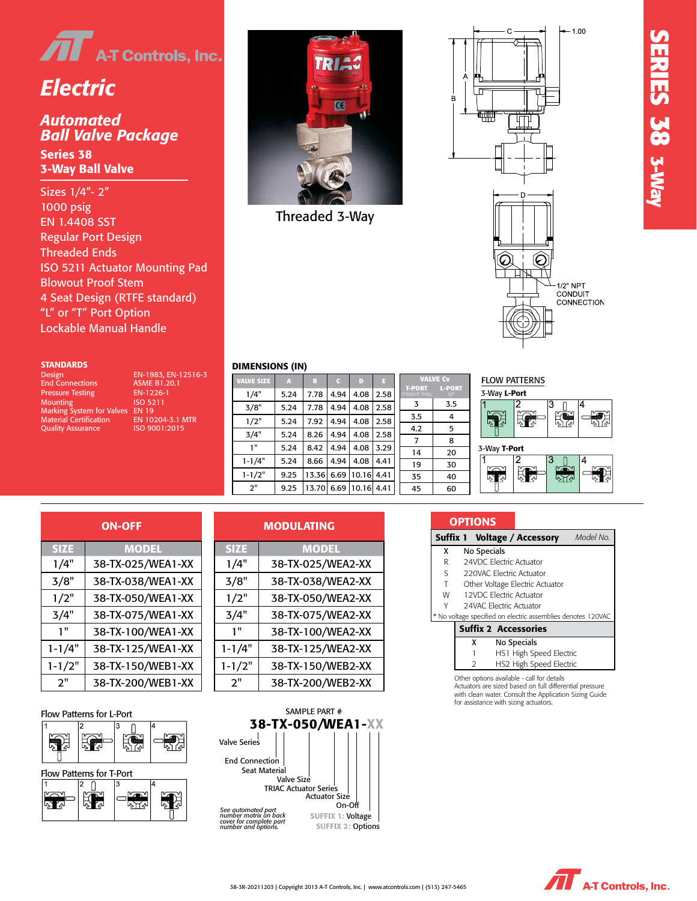

# *Electric*

#### *Ball Valve Package* Ball Valve Package<br><u>2</u> *Automated*

Series 38 3-Way Ball Valve

Regular Port Design 4 Seat Design (RTFE standard) ISO 5211 Actuator Mounting Pad 4 Seat Design (RTFE standard) "L" or "T" Port Option Lockable Manual Handle Material Certification EN 10204-3.1 MTR Sizes 1/4"- 2" 1000 psig EN 1.4408 SST Threaded Ends Blowout Proof Stem

#### **STANDARDS**

DIMENSIONS (IN)

| <b>Design</b>                   | EN-1983. EN-12516-3     |                   |
|---------------------------------|-------------------------|-------------------|
| <b>End Connections</b>          | <b>ASME B1.20.1</b>     | <b>VALVE SIZE</b> |
| <b>Pressure Testing</b>         | EN-1226-1               | 1/4"              |
| <b>Mounting</b>                 | ISO 5211                |                   |
| Marking System for Valves EN 19 |                         | 3/8"              |
| <b>Material Certification</b>   | <b>EN 10204-3.1 MTR</b> | 1/2"              |
| <b>Ouality Assurance</b>        | ISO 9001:2015           |                   |

 $\begin{array}{ccc} \n\text{ISO} & 5211 \\
\hline\n\text{SVD} & \n\end{array}$ 3, EN-12516-3  $1.20.1$ 

1-1/4" 38-TX-125/WEA1-XX-TX-125/WEA1-XX-TX-125/WEA1-XX-TX-125/WEA1-XX-TX-125/WEA1-XX-TX-125/WEA1-XX-TX-125/WEA



Threaded 3-Way



| DIMENSIONS (IN) |  |
|-----------------|--|

| r Mounting Pad<br>em<br><b>FE</b> standard)<br>tion<br><b>Handle</b> |                                             |      |            |      |                       |      |                                |                             | $\mathbb{I}\mathcal{Q}$ |
|----------------------------------------------------------------------|---------------------------------------------|------|------------|------|-----------------------|------|--------------------------------|-----------------------------|-------------------------|
| EN-1983, EN-12516-3                                                  | <b>DIMENSIONS (IN)</b><br><b>VALVE SIZE</b> | A    | B          | c    | D                     | п    |                                | <b>VALVE Cv</b>             | <b>FLOW PATT</b>        |
| <b>ASME B1.20.1</b><br>EN-1226-1                                     | 1/4"                                        | 5.24 | 7.78       | 4.94 | 4.08                  | 2.58 | <b>T-PORT</b><br>STRAIGHT THRU | <b>L-PORT</b><br>$90^\circ$ | 3-Way L-Por             |
| ISO 5211                                                             | 3/8"                                        | 5.24 | 7.78       | 4.94 | 4.08                  | 2.58 | 3                              | 3.5                         | 2                       |
| <b>EN 19</b><br>EN 10204-3.1 MTR                                     | 1/2"                                        | 5.24 | 7.92       | 4.94 | 4.08                  | 2.58 | 3.5                            | 4                           | Ę                       |
| ISO 9001:2015                                                        | 3/4"                                        | 5.24 | 8.26       | 4.94 | 4.08                  | 2.58 | 4.2                            | 5                           | ابن¶<ٍا                 |
|                                                                      | 1"                                          | 5.24 | 8.42       | 4.94 | 4.08                  | 3.29 | $\overline{7}$                 | 8                           |                         |
|                                                                      |                                             |      |            |      |                       |      | 14                             | 20                          | 3-Way T-Port<br>2       |
|                                                                      | $1 - 1/4"$                                  | 5.24 | 8.66       | 4.94 | 4.08                  | 4.41 | 19                             | 30                          |                         |
|                                                                      | $1 - 1/2"$                                  | 9.25 | 13.36 6.69 |      | 10.16 4.41            |      | 35                             | 40                          | Ę<br>577                |
|                                                                      | 2"                                          | 9.25 |            |      | 13.70 6.69 10.16 4.41 |      | 45                             | 60                          |                         |

| RT | <b>FLOW PATTERNS</b><br>3-Way L-Port |  |
|----|--------------------------------------|--|
|    | 3                                    |  |
|    | a Z<br>$\mathcal{L}$<br>۳ جا<br>ζu   |  |
|    | 3-Way T-Port                         |  |
|    | З<br>$\sqrt{2}$                      |  |
|    | بومج                                 |  |
|    |                                      |  |

|             | <b>ON-OFF</b>     |             | M |
|-------------|-------------------|-------------|---|
| <b>SIZE</b> | <b>MODEL</b>      | <b>SIZE</b> |   |
| 1/4"        | 38-TX-025/WEA1-XX | 1/4"        | Z |
| 3/8"        | 38-TX-038/WEA1-XX | 3/8"        |   |
| 1/2"        | 38-TX-050/WEA1-XX | 1/2"        |   |
| 3/4"        | 38-TX-075/WEA1-XX | 3/4"        |   |
| 1"          | 38-TX-100/WEA1-XX | 1"          |   |
| $1 - 1/4"$  | 38-TX-125/WEA1-XX | $1 - 1/4"$  | þ |
| $1 - 1/2"$  | 38-TX-150/WEB1-XX | $1 - 1/2"$  | þ |
| 2"          | 38-TX-200/WEB1-XX | 2"          | Į |

|  | <b>Flow Patterns for L-Port</b> |  |
|--|---------------------------------|--|
|  |                                 |  |



|  |             | <b>MODULATING</b> |
|--|-------------|-------------------|
|  | <b>SIZE</b> | <b>MODEL</b>      |
|  | 1/4"        | 38-TX-025/WEA2-XX |
|  | 3/8"        | 38-TX-038/WEA2-XX |
|  | 1/2"        | 38-TX-050/WEA2-XX |
|  | 3/4"        | 38-TX-075/WEA2-XX |
|  | 1"          | 38-TX-100/WEA2-XX |
|  | $1 - 1/4"$  | 38-TX-125/WEA2-XX |
|  | $1 - 1/2"$  | 38-TX-150/WEB2-XX |
|  | 2"          | 38-TX-200/WEB2-XX |



| Suffix 1 |                         | <b>Voltage / Accessory</b>                                   | Model No. |  |  |  |
|----------|-------------------------|--------------------------------------------------------------|-----------|--|--|--|
| x        | No Specials             |                                                              |           |  |  |  |
| R        |                         | 24VDC Electric Actuator                                      |           |  |  |  |
| S        |                         | 220VAC Electric Actuator                                     |           |  |  |  |
| T        |                         | Other Voltage Electric Actuator                              |           |  |  |  |
| W        | 12VDC Electric Actuator |                                                              |           |  |  |  |
| γ        |                         | 24VAC Electric Actuator                                      |           |  |  |  |
|          |                         | * No voltage specified on electric assemblies denotes 120VAC |           |  |  |  |
|          |                         | <b>Suffix 2 Accessories</b>                                  |           |  |  |  |
|          | x                       | No Specials                                                  |           |  |  |  |
|          |                         | HS1 High Speed Electric                                      |           |  |  |  |
|          |                         | HS2 High Speed Electric                                      |           |  |  |  |

i water. Consult the <sub>4</sub> with clean water. Consult the Application Sizing Guide<br>for assistance with sizing actuators. sales@atcontrols.com

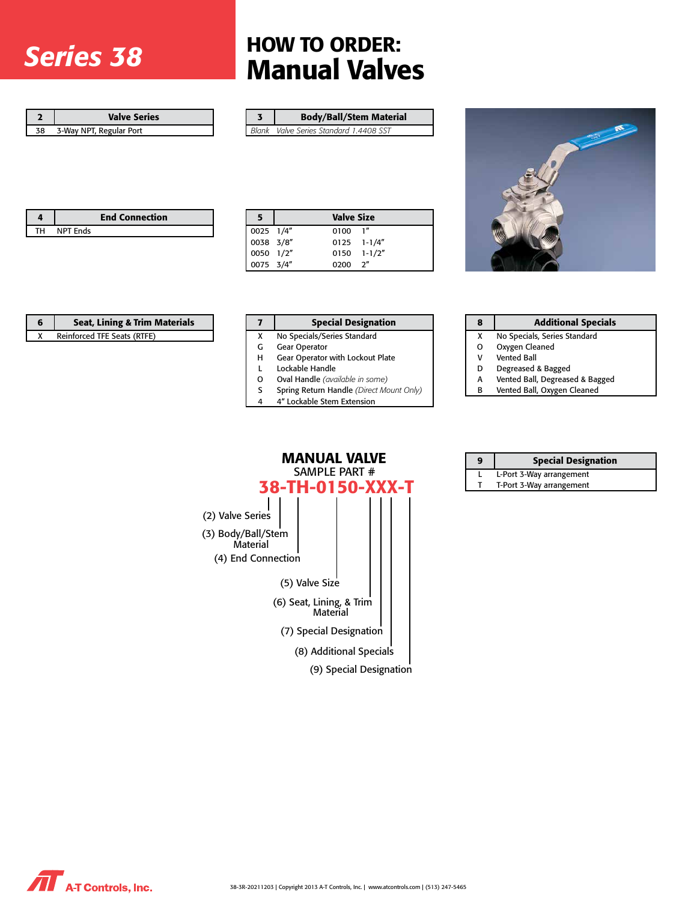# *Series 38*

## HOW TO ORDER: Manual Valves

| <b>Valve Series</b>     |
|-------------------------|
| 3-Way NPT, Regular Port |

| <b>Body/Ball/Stem Material</b>         |
|----------------------------------------|
| Plank Value Series Standard 1 4408 SST |

*Blank Valve Series Standard 1.4408 SST*



|    |                 | <b>End Connection</b> |
|----|-----------------|-----------------------|
| тц | <b>NPT Fnds</b> |                       |

| 5 <sub>1</sub> | <b>Valve Size</b> |  |  |
|----------------|-------------------|--|--|
| 0025 1/4"      | $0100$ $1''$      |  |  |
| 0038 3/8"      | $0125$ 1-1/4"     |  |  |
| 0050 1/2"      | $0150$ $1-1/2"$   |  |  |
| 0075 3/4"      | $0200 \t 2"$      |  |  |

| <b>Seat, Lining &amp; Trim Materials</b> |  | <b>Special Designa</b>      |
|------------------------------------------|--|-----------------------------|
| Reinforced TFE Seats (RTFE)              |  | No Specials/Series Standard |
|                                          |  | <b>Gear Operator</b>        |

| G | <b>Gear Operator</b>                    |
|---|-----------------------------------------|
| н | <b>Gear Operator with Lockout Plate</b> |

- 
- L Lockable Handle<br>O Oval Handle (ava. Oval Handle (available in some)
- S Spring Return Handle *(Direct Mount Only)*

**Special Designation** 

- 4 4" Lockable Stem Extension
- 

| 8 | <b>Additional Specials</b>      |
|---|---------------------------------|
| X | No Specials, Series Standard    |
| 0 | Oxygen Cleaned                  |
| v | <b>Vented Ball</b>              |
| D | Degreased & Bagged              |
| А | Vented Ball, Degreased & Bagged |

B Vented Ball, Oxygen Cleaned

| MANUAL VALVE<br>SAMPLE PART #<br>38-TH-0150-XXX-T |  |                                      |                         |  |  |
|---------------------------------------------------|--|--------------------------------------|-------------------------|--|--|
|                                                   |  |                                      |                         |  |  |
| (2) Valve Series                                  |  |                                      |                         |  |  |
| (3) Body/Ball/Stem<br>Material                    |  |                                      |                         |  |  |
| (4) End Connection                                |  |                                      |                         |  |  |
|                                                   |  | (5) Valve Size                       |                         |  |  |
|                                                   |  | (6) Seat, Lining, & Trim<br>Material |                         |  |  |
|                                                   |  | (7) Special Designation              |                         |  |  |
|                                                   |  | (8) Additional Specials              |                         |  |  |
|                                                   |  |                                      | (9) Special Designation |  |  |

| 9 | <b>Special Designation</b> |
|---|----------------------------|
|   | L-Port 3-Way arrangement   |
|   | T-Port 3-Way arrangement   |

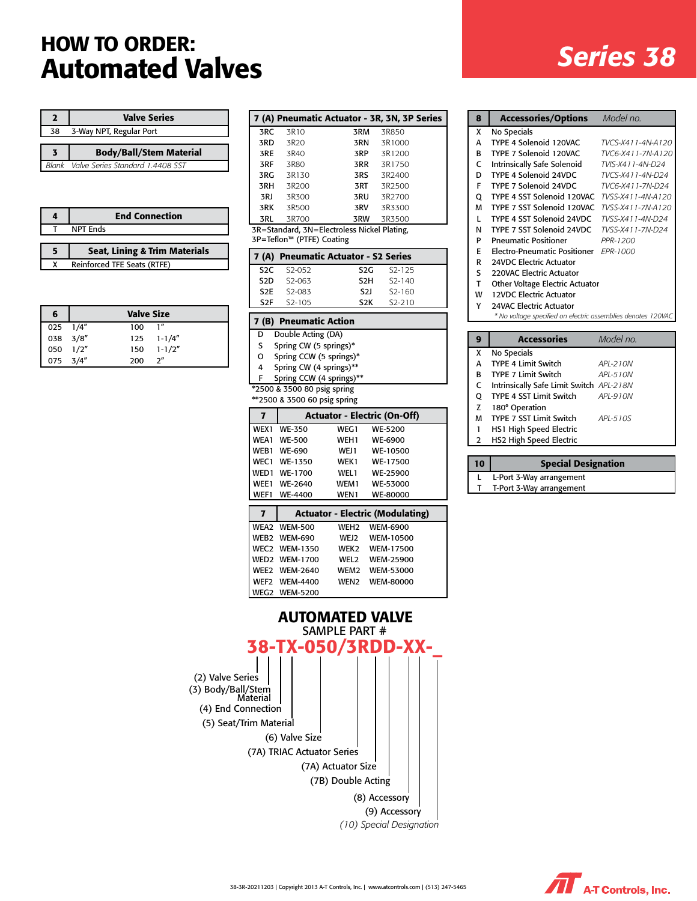## *Series 38* HOW TO ORDER: Automated Valves

| 2            | <b>Valve Series</b>              |  |
|--------------|----------------------------------|--|
| 38           | 3-Way NPT, Regular Port          |  |
|              |                                  |  |
| 3            | <b>Body/Ball/Stem Material</b>   |  |
| <b>Blank</b> | Valve Series Standard 1.4408 SST |  |

|   | <b>End Connection</b>                    |
|---|------------------------------------------|
|   | <b>NPT Ends</b>                          |
|   |                                          |
| 5 | <b>Seat, Lining &amp; Trim Materials</b> |
|   | Reinforced TFE Seats (RTFE)              |

| 6            | <b>Valve Size</b> |     |                  |
|--------------|-------------------|-----|------------------|
| $025$ $1/4"$ |                   | 100 | $\mathbf{1}''$   |
| 038 3/8"     |                   |     | $125 \t1-1/4''$  |
| 050 1/2"     |                   |     | $150 \t 1-1/2''$ |
| 075 3/4"     |                   | 200 | 2 <sup>n</sup>   |

|                                             |       | 7 (A) Pneumatic Actuator - 3R, 3N, 3P Series |        |  |
|---------------------------------------------|-------|----------------------------------------------|--------|--|
| 3RC                                         | 3R10  | 3RM                                          | 3R850  |  |
| 3RD                                         | 3R20  | 3RN                                          | 3R1000 |  |
| 3RE                                         | 3R40  | 3RP                                          | 3R1200 |  |
| 3RF                                         | 3R80  | 3RR                                          | 3R1750 |  |
| 3RG                                         | 3R130 | 3RS                                          | 3R2400 |  |
| 3RH                                         | 3R200 | 3RT                                          | 3R2500 |  |
| 3RJ                                         | 3R300 | 3RU                                          | 3R2700 |  |
| 3RK                                         | 3R500 | 3RV                                          | 3R3300 |  |
| 3RL                                         | 3R700 | 3RW                                          | 3R3500 |  |
| 3R=Standard, 3N=Electroless Nickel Plating, |       |                                              |        |  |

3P=Teflon™ (PTFE) Coating

|      | 7 (A) Pneumatic Actuator - S2 Series |                  |                     |  |
|------|--------------------------------------|------------------|---------------------|--|
|      | S <sub>2</sub> C S <sub>2</sub> -052 | S2G.             | S <sub>2</sub> -125 |  |
| S2D. | S2-063                               | S <sub>2</sub> H | $S2 - 140$          |  |
|      | S <sub>2</sub> E 52-083              | <b>S21</b>       | $S2 - 160$          |  |
| S2F. | S <sub>2</sub> -105                  | S2K              | $S2 - 210$          |  |

#### 7 (B) Pneumatic Action

- D Double Acting (DA)
- S Spring CW (5 springs)\*
- O Spring CCW (5 springs)\*
- 4 Spring CW (4 springs)\*\*
- F Spring CCW (4 springs)\*\*

\*2500 & 3500 80 psig spring

\*\*2500 & 3500 60 psig spring

| 7                | <b>Actuator - Electric (On-Off)</b> |                  |                 |  |
|------------------|-------------------------------------|------------------|-----------------|--|
| WEX1             | <b>WE-350</b>                       | WEG1             | WE-5200         |  |
| WEA1             | <b>WE-500</b>                       | WEH <sub>1</sub> | WE-6900         |  |
| WEB1             | <b>WE-690</b>                       | WEJ1             | WE-10500        |  |
| WFC <sub>1</sub> | WE-1350                             | WEK1             | WE-17500        |  |
| WED <sub>1</sub> | WE-1700                             | WFI <sub>1</sub> | <b>WE-25900</b> |  |
| WFF1             | <b>WE-2640</b>                      | WEM1             | WE-53000        |  |
| WFF1             | WE-4400                             | WEN1             | <b>WE-80000</b> |  |

| 7 |                      |                  | <b>Actuator - Electric (Modulating)</b> |  |
|---|----------------------|------------------|-----------------------------------------|--|
|   | WEA2 WEM-500         | <b>WFH2</b>      | <b>WEM-6900</b>                         |  |
|   | WEB2 WEM-690         |                  | WEJ2 WEM-10500                          |  |
|   | <b>WEC2 WEM-1350</b> | <b>WFK2</b>      | <b>WEM-17500</b>                        |  |
|   | <b>WED2 WEM-1700</b> | WFI <sub>2</sub> | <b>WEM-25900</b>                        |  |
|   | <b>WEE2 WEM-2640</b> | <b>WFM2</b>      | <b>WEM-53000</b>                        |  |
|   | WEF2 WEM-4400        | <b>WFN2</b>      | <b>WFM-80000</b>                        |  |
|   | <b>WEG2 WEM-5200</b> |                  |                                         |  |

*(10) Special Designation* SAMPLE PART # (2) Valve Series (3) Body/Ball/Stem Material (6) Valve Size (5) Seat/Trim Material (4) End Connection (7A) TRIAC Actuator Series (7A) Actuator Size (7B) Double Acting (8) Accessory (9) Accessory AUTOMATED VALVE 38-TX-050/3RDD-XX-\_

| 8 | <b>Accessories/Options</b>                                   | Model no.         |  |
|---|--------------------------------------------------------------|-------------------|--|
| x | No Specials                                                  |                   |  |
| A | TYPE 4 Solenoid 120VAC                                       | TVCS-X411-4N-A120 |  |
| в | TYPE 7 Solenoid 120VAC                                       | TVC6-X411-7N-A120 |  |
| C | Intrinsically Safe Solenoid                                  | TVIS-X411-4N-D24  |  |
| D | TYPE 4 Solenoid 24VDC                                        | TVCS-X411-4N-D24  |  |
| F | TYPE 7 Solenoid 24VDC                                        | TVC6-X411-7N-D24  |  |
| Q | TYPE 4 SST Solenoid 120VAC                                   | TVSS-X411-4N-A120 |  |
| M | TYPE 7 SST Solenoid 120VAC                                   | TVSS-X411-7N-A120 |  |
| L | TYPE 4 SST Solenoid 24VDC                                    | TVSS-X411-4N-D24  |  |
| N | TYPE 7 SST Solenoid 24VDC                                    | TVSS-X411-7N-D24  |  |
| P | <b>Pneumatic Positioner</b>                                  | PPR-1200          |  |
| E | Electro-Pneumatic Positioner FPR-1000                        |                   |  |
| R | 24VDC Electric Actuator                                      |                   |  |
| S | 220VAC Electric Actuator                                     |                   |  |
| T | Other Voltage Electric Actuator                              |                   |  |
| W | <b>12VDC Electric Actuator</b>                               |                   |  |
| Υ | 24VAC Electric Actuator                                      |                   |  |
|   | * No voltage specified on electric assemblies denotes 120VAC |                   |  |
|   |                                                              |                   |  |
| 9 | <b>Accessories</b>                                           | Model no.         |  |
| X | No Specials                                                  |                   |  |
| A | <b>TYPE 4 Limit Switch</b>                                   | API-210N          |  |
| В | <b>TYPE 7 Limit Switch</b>                                   | APL-510N          |  |
| C | Intrinsically Safe Limit Switch APL-218N                     |                   |  |
| Q | TYPE 4 SST Limit Switch                                      | API-910N          |  |
| Z | 180° Operation                                               |                   |  |
|   |                                                              |                   |  |

| 10 | <b>Special Designation</b> |
|----|----------------------------|
|    | L-Port 3-Way arrangement   |
|    | T-Port 3-Way arrangement   |

1 HS1 High Speed Electric 2 HS2 High Speed Electric